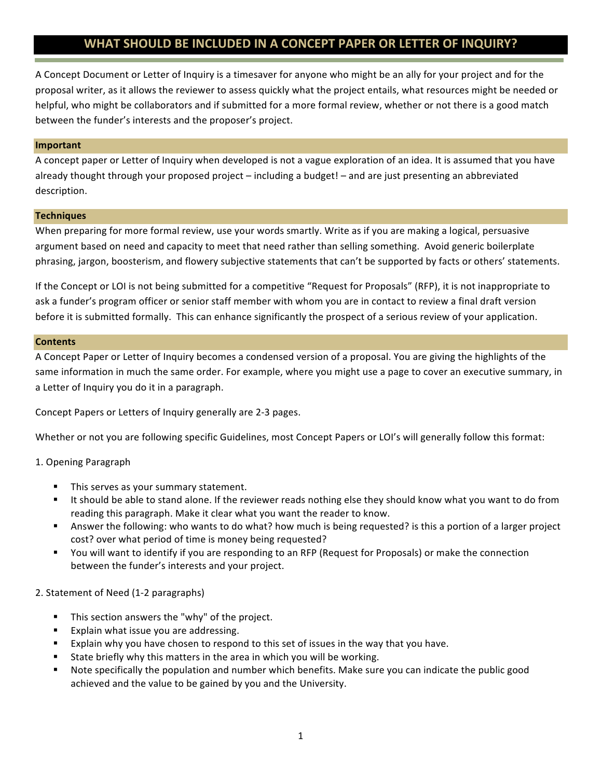# WHAT SHOULD BE INCLUDED IN A CONCEPT PAPER OR LETTER OF INQUIRY?

A Concept Document or Letter of Inquiry is a timesaver for anyone who might be an ally for your project and for the proposal writer, as it allows the reviewer to assess quickly what the project entails, what resources might be needed or helpful, who might be collaborators and if submitted for a more formal review, whether or not there is a good match between the funder's interests and the proposer's project.

#### **Important**

A concept paper or Letter of Inquiry when developed is not a vague exploration of an idea. It is assumed that you have already thought through your proposed project – including a budget! – and are just presenting an abbreviated description.

#### **Techniques**

When preparing for more formal review, use your words smartly. Write as if you are making a logical, persuasive argument based on need and capacity to meet that need rather than selling something. Avoid generic boilerplate phrasing, jargon, boosterism, and flowery subjective statements that can't be supported by facts or others' statements.

If the Concept or LOI is not being submitted for a competitive "Request for Proposals" (RFP), it is not inappropriate to ask a funder's program officer or senior staff member with whom you are in contact to review a final draft version before it is submitted formally. This can enhance significantly the prospect of a serious review of your application.

#### **Contents**

A Concept Paper or Letter of Inquiry becomes a condensed version of a proposal. You are giving the highlights of the same information in much the same order. For example, where you might use a page to cover an executive summary, in a Letter of Inquiry you do it in a paragraph.

Concept Papers or Letters of Inquiry generally are 2-3 pages.

Whether or not you are following specific Guidelines, most Concept Papers or LOI's will generally follow this format:

## 1. Opening Paragraph

- This serves as your summary statement.
- It should be able to stand alone. If the reviewer reads nothing else they should know what you want to do from reading this paragraph. Make it clear what you want the reader to know.
- Answer the following: who wants to do what? how much is being requested? is this a portion of a larger project cost? over what period of time is money being requested?
- You will want to identify if you are responding to an RFP (Request for Proposals) or make the connection between the funder's interests and your project.

## 2. Statement of Need (1-2 paragraphs)

- This section answers the "why" of the project.
- Explain what issue you are addressing.
- Explain why you have chosen to respond to this set of issues in the way that you have.
- State briefly why this matters in the area in which you will be working.
- Note specifically the population and number which benefits. Make sure you can indicate the public good achieved and the value to be gained by you and the University.